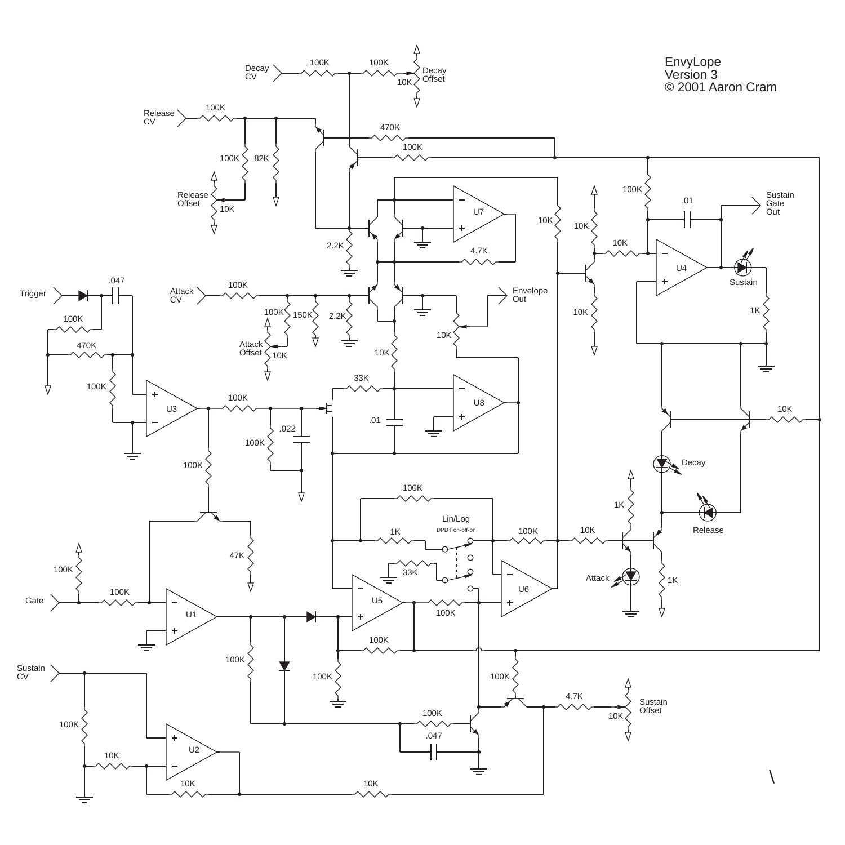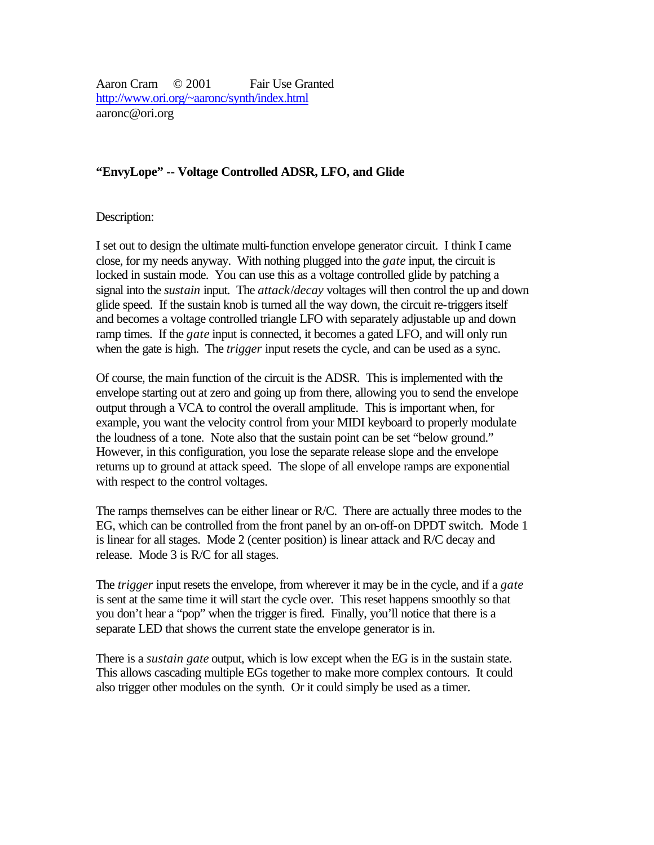Aaron Cram © 2001 Fair Use Granted http://www.ori.org/~aaronc/synth/index.html aaronc@ori.org

## **"EnvyLope" -- Voltage Controlled ADSR, LFO, and Glide**

Description:

I set out to design the ultimate multi-function envelope generator circuit. I think I came close, for my needs anyway. With nothing plugged into the *gate* input, the circuit is locked in sustain mode. You can use this as a voltage controlled glide by patching a signal into the *sustain* input. The *attack*/*decay* voltages will then control the up and down glide speed. If the sustain knob is turned all the way down, the circuit re-triggers itself and becomes a voltage controlled triangle LFO with separately adjustable up and down ramp times. If the *gate* input is connected, it becomes a gated LFO, and will only run when the gate is high. The *trigger* input resets the cycle, and can be used as a sync.

Of course, the main function of the circuit is the ADSR. This is implemented with the envelope starting out at zero and going up from there, allowing you to send the envelope output through a VCA to control the overall amplitude. This is important when, for example, you want the velocity control from your MIDI keyboard to properly modulate the loudness of a tone. Note also that the sustain point can be set "below ground." However, in this configuration, you lose the separate release slope and the envelope returns up to ground at attack speed. The slope of all envelope ramps are exponential with respect to the control voltages.

The ramps themselves can be either linear or R/C. There are actually three modes to the EG, which can be controlled from the front panel by an on-off-on DPDT switch. Mode 1 is linear for all stages. Mode 2 (center position) is linear attack and R/C decay and release. Mode 3 is R/C for all stages.

The *trigger* input resets the envelope, from wherever it may be in the cycle, and if a *gate* is sent at the same time it will start the cycle over. This reset happens smoothly so that you don't hear a "pop" when the trigger is fired. Finally, you'll notice that there is a separate LED that shows the current state the envelope generator is in.

There is a *sustain gate* output, which is low except when the EG is in the sustain state. This allows cascading multiple EGs together to make more complex contours. It could also trigger other modules on the synth. Or it could simply be used as a timer.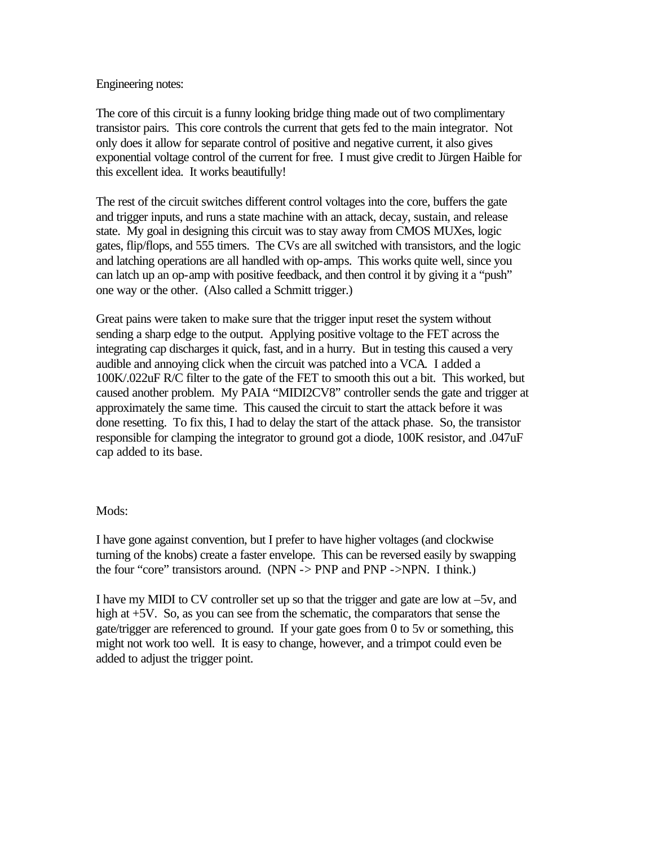## Engineering notes:

The core of this circuit is a funny looking bridge thing made out of two complimentary transistor pairs. This core controls the current that gets fed to the main integrator. Not only does it allow for separate control of positive and negative current, it also gives exponential voltage control of the current for free. I must give credit to Jürgen Haible for this excellent idea. It works beautifully!

The rest of the circuit switches different control voltages into the core, buffers the gate and trigger inputs, and runs a state machine with an attack, decay, sustain, and release state. My goal in designing this circuit was to stay away from CMOS MUXes, logic gates, flip/flops, and 555 timers. The CVs are all switched with transistors, and the logic and latching operations are all handled with op-amps. This works quite well, since you can latch up an op-amp with positive feedback, and then control it by giving it a "push" one way or the other. (Also called a Schmitt trigger.)

Great pains were taken to make sure that the trigger input reset the system without sending a sharp edge to the output. Applying positive voltage to the FET across the integrating cap discharges it quick, fast, and in a hurry. But in testing this caused a very audible and annoying click when the circuit was patched into a VCA. I added a 100K/.022uF R/C filter to the gate of the FET to smooth this out a bit. This worked, but caused another problem. My PAIA "MIDI2CV8" controller sends the gate and trigger at approximately the same time. This caused the circuit to start the attack before it was done resetting. To fix this, I had to delay the start of the attack phase. So, the transistor responsible for clamping the integrator to ground got a diode, 100K resistor, and .047uF cap added to its base.

## Mods:

I have gone against convention, but I prefer to have higher voltages (and clockwise turning of the knobs) create a faster envelope. This can be reversed easily by swapping the four "core" transistors around. (NPN -> PNP and PNP ->NPN. I think.)

I have my MIDI to CV controller set up so that the trigger and gate are low at –5v, and high at  $+5V$ . So, as you can see from the schematic, the comparators that sense the gate/trigger are referenced to ground. If your gate goes from 0 to 5v or something, this might not work too well. It is easy to change, however, and a trimpot could even be added to adjust the trigger point.